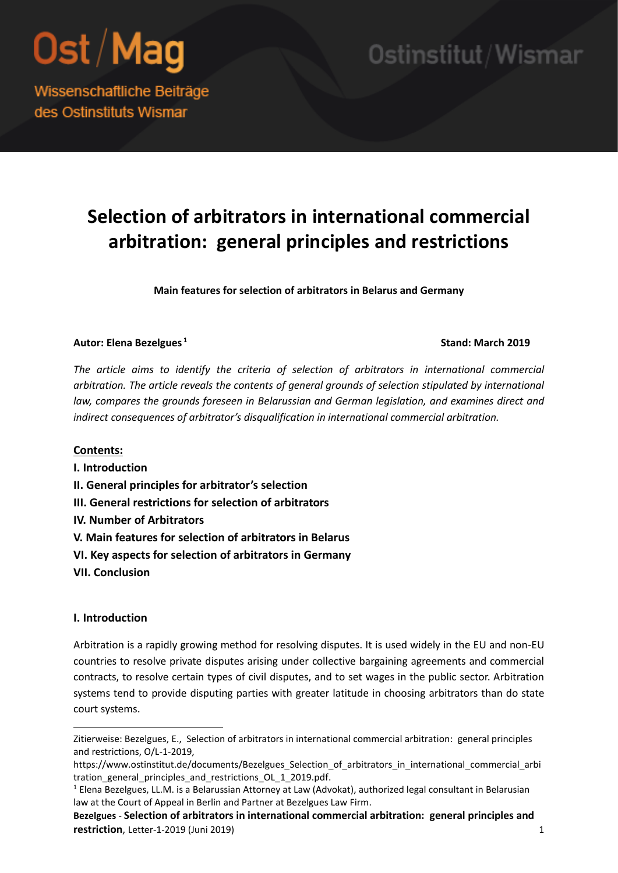

Ostinstitut/Wismar

Wissenschaftliche Beiträge des Ostinstituts Wismar

### **Selection of arbitrators in international commercial arbitration: general principles and restrictions**

**Main features for selection of arbitrators in Belarus and Germany**

#### **Autor: Elena Bezelgues <sup>1</sup>**

#### **Stand: March 2019**

*The article aims to identify the criteria of selection of arbitrators in international commercial arbitration. The article reveals the contents of general grounds of selection stipulated by international*  law, compares the grounds foreseen in Belarussian and German legislation, and examines direct and *indirect consequences of arbitrator's disqualification in international commercial arbitration.*

#### **Contents:**

- **I. Introduction**
- **II. General principles for arbitrator's selection**
- **III. General restrictions for selection of arbitrators**
- **IV. Number of Arbitrators**
- **V. Main features for selection of arbitrators in Belarus**
- **VI. Key aspects for selection of arbitrators in Germany**
- **VII. Conclusion**

#### **I. Introduction**

1

Arbitration is a rapidly growing method for resolving disputes. It is used widely in the EU and non-EU countries to resolve private disputes arising under collective bargaining agreements and commercial contracts, to resolve certain types of civil disputes, and to set wages in the public sector. Arbitration systems tend to provide disputing parties with greater latitude in choosing arbitrators than do state court systems.

Zitierweise: Bezelgues, E., Selection of arbitrators in international commercial arbitration: general principles and restrictions, O/L-1-2019,

https://www.ostinstitut.de/documents/Bezelgues\_Selection\_of\_arbitrators\_in\_international\_commercial\_arbi tration general principles and restrictions OL 1 2019.pdf.

<sup>&</sup>lt;sup>1</sup> Elena Bezelgues, LL.M. is a Belarussian Attorney at Law (Advokat), authorized legal consultant in Belarusian law at the Court of Appeal in Berlin and Partner at Bezelgues Law Firm.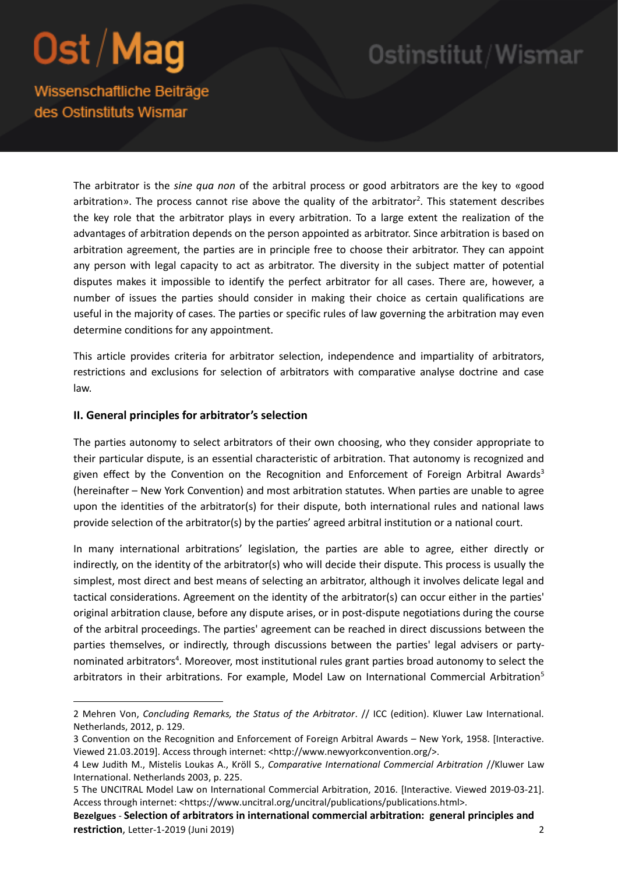**.** 

### Ostinstitut/Wismar

Wissenschaftliche Beiträge des Ostinstituts Wismar

> The arbitrator is the *sine qua non* of the arbitral process or good arbitrators are the key to «good arbitration». The process cannot rise above the quality of the arbitrator<sup>2</sup>. This statement describes the key role that the arbitrator plays in every arbitration. To a large extent the realization of the advantages of arbitration depends on the person appointed as arbitrator. Since arbitration is based on arbitration agreement, the parties are in principle free to choose their arbitrator. They can appoint any person with legal capacity to act as arbitrator. The diversity in the subject matter of potential disputes makes it impossible to identify the perfect arbitrator for all cases. There are, however, a number of issues the parties should consider in making their choice as certain qualifications are useful in the majority of cases. The parties or specific rules of law governing the arbitration may even determine conditions for any appointment.

> This article provides criteria for arbitrator selection, independence and impartiality of arbitrators, restrictions and exclusions for selection of arbitrators with comparative analyse doctrine and case law.

#### **II. General principles for arbitrator's selection**

The parties autonomy to select arbitrators of their own choosing, who they consider appropriate to their particular dispute, is an essential characteristic of arbitration. That autonomy is recognized and given effect by the Convention on the Recognition and Enforcement of Foreign Arbitral Awards<sup>3</sup> (hereinafter – New York Convention) and most arbitration statutes. When parties are unable to agree upon the identities of the arbitrator(s) for their dispute, both international rules and national laws provide selection of the arbitrator(s) by the parties' agreed arbitral institution or a national court.

In many international arbitrations' legislation, the parties are able to agree, either directly or indirectly, on the identity of the arbitrator(s) who will decide their dispute. This process is usually the simplest, most direct and best means of selecting an arbitrator, although it involves delicate legal and tactical considerations. Agreement on the identity of the arbitrator(s) can occur either in the parties' original arbitration clause, before any dispute arises, or in post-dispute negotiations during the course of the arbitral proceedings. The parties' agreement can be reached in direct discussions between the parties themselves, or indirectly, through discussions between the parties' legal advisers or partynominated arbitrators<sup>4</sup>. Moreover, most institutional rules grant parties broad autonomy to select the arbitrators in their arbitrations. For example, Model Law on International Commercial Arbitration<sup>5</sup>

<sup>2</sup> Mehren Von, *Concluding Remarks, the Status of the Arbitrator*. // ICC (edition). Kluwer Law International. Netherlands, 2012, p. 129.

<sup>3</sup> Convention on the Recognition and Enforcement of Foreign Arbitral Awards – New York, 1958. [Interactive. Viewed 21.03.2019]. Access through internet: <http://www.newyorkconvention.org/>.

<sup>4</sup> Lew Judith M., Mistelis Loukas A., Kröll S., *Comparative International Commercial Arbitration* //Kluwer Law International. Netherlands 2003, p. 225.

<sup>5</sup> The UNCITRAL Model Law on International Commercial Arbitration, 2016. [Interactive. Viewed 2019-03-21]. Access through internet: <https://www.uncitral.org/uncitral/publications/publications.html>.

**Bezelgues** - **Selection of arbitrators in international commercial arbitration: general principles and restriction**, Letter-1-2019 (Juni 2019) 2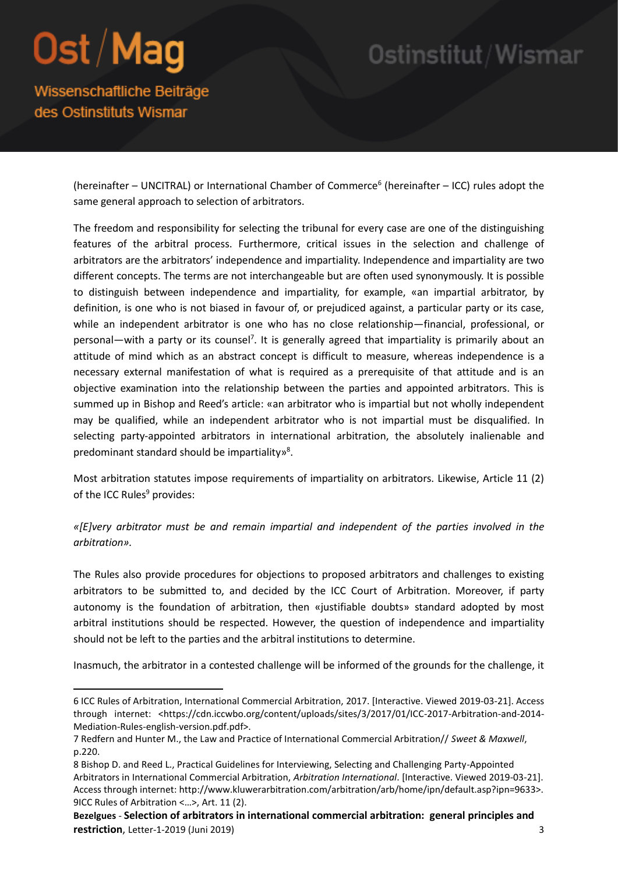**.** 

## Ostinstitut/Wismar

Wissenschaftliche Beiträge des Ostinstituts Wismar

> (hereinafter - UNCITRAL) or International Chamber of Commerce<sup>6</sup> (hereinafter - ICC) rules adopt the same general approach to selection of arbitrators.

> The freedom and responsibility for selecting the tribunal for every case are one of the distinguishing features of the arbitral process. Furthermore, critical issues in the selection and challenge of arbitrators are the arbitrators' independence and impartiality. Independence and impartiality are two different concepts. The terms are not interchangeable but are often used synonymously. It is possible to distinguish between independence and impartiality, for example, «an impartial arbitrator, by definition, is one who is not biased in favour of, or prejudiced against, a particular party or its case, while an independent arbitrator is one who has no close relationship—financial, professional, or personal—with a party or its counsel<sup>7</sup>. It is generally agreed that impartiality is primarily about an attitude of mind which as an abstract concept is difficult to measure, whereas independence is a necessary external manifestation of what is required as a prerequisite of that attitude and is an objective examination into the relationship between the parties and appointed arbitrators. This is summed up in Bishop and Reed's article: «an arbitrator who is impartial but not wholly independent may be qualified, while an independent arbitrator who is not impartial must be disqualified. In selecting party-appointed arbitrators in international arbitration, the absolutely inalienable and predominant standard should be impartiality»<sup>8</sup>.

> Most arbitration statutes impose requirements of impartiality on arbitrators. Likewise, Article 11 (2) of the ICC Rules<sup>9</sup> provides:

> *«[E]very arbitrator must be and remain impartial and independent of the parties involved in the arbitration».*

> The Rules also provide procedures for objections to proposed arbitrators and challenges to existing arbitrators to be submitted to, and decided by the ICC Court of Arbitration. Moreover, if party autonomy is the foundation of arbitration, then «justifiable doubts» standard adopted by most arbitral institutions should be respected. However, the question of independence and impartiality should not be left to the parties and the arbitral institutions to determine.

> Inasmuch, the arbitrator in a contested challenge will be informed of the grounds for the challenge, it

<sup>6</sup> ICC Rules of Arbitration, International Commercial Arbitration, 2017. [Interactive. Viewed 2019-03-21]. Access through internet: <https://cdn.iccwbo.org/content/uploads/sites/3/2017/01/ICC-2017-Arbitration-and-2014-Mediation-Rules-english-version.pdf.pdf>.

<sup>7</sup> Redfern and Hunter M., the Law and Practice of International Commercial Arbitration// *Sweet & Maxwell*, p.220.

<sup>8</sup> Bishop D. and Reed L., Practical Guidelines for Interviewing, Selecting and Challenging Party-Appointed Arbitrators in International Commercial Arbitration, *Arbitration International*. [Interactive. Viewed 2019-03-21]. Access through internet: http://www.kluwerarbitration.com/arbitration/arb/home/ipn/default.asp?ipn=9633>. 9ICC Rules of Arbitration <…>, Art. 11 (2).

**Bezelgues** - **Selection of arbitrators in international commercial arbitration: general principles and restriction**, Letter-1-2019 (Juni 2019) 3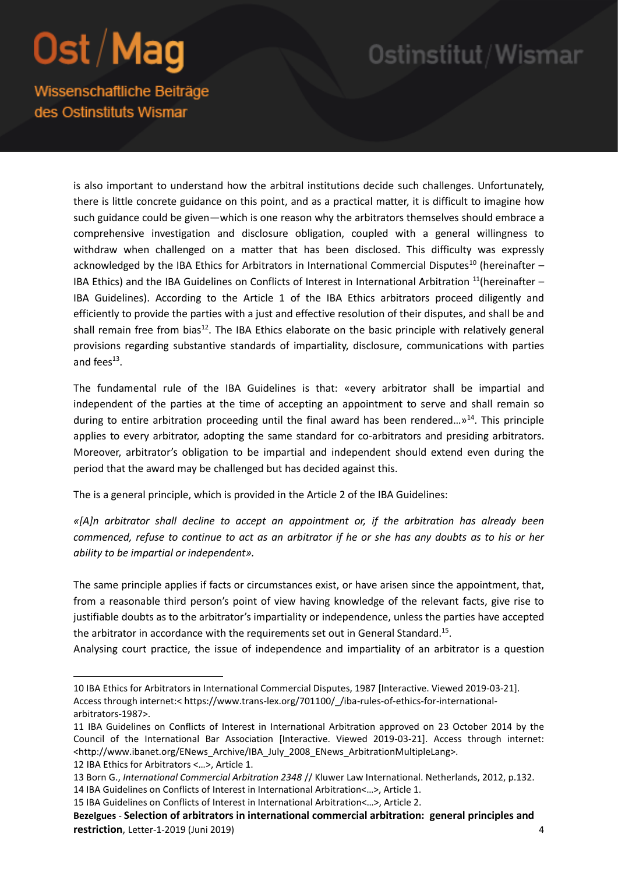### Ostinstitut/Wismar

Wissenschaftliche Beiträge des Ostinstituts Wismar

> is also important to understand how the arbitral institutions decide such challenges. Unfortunately, there is little concrete guidance on this point, and as a practical matter, it is difficult to imagine how such guidance could be given—which is one reason why the arbitrators themselves should embrace a comprehensive investigation and disclosure obligation, coupled with a general willingness to withdraw when challenged on a matter that has been disclosed. This difficulty was expressly acknowledged by the IBA Ethics for Arbitrators in International Commercial Disputes<sup>10</sup> (hereinafter  $-$ IBA Ethics) and the IBA Guidelines on Conflicts of Interest in International Arbitration  $11$ (hereinafter – IBA Guidelines). According to the Article 1 of the IBA Ethics arbitrators proceed diligently and efficiently to provide the parties with a just and effective resolution of their disputes, and shall be and shall remain free from bias<sup>12</sup>. The IBA Ethics elaborate on the basic principle with relatively general provisions regarding substantive standards of impartiality, disclosure, communications with parties and fees $^{13}$ .

> The fundamental rule of the IBA Guidelines is that: «every arbitrator shall be impartial and independent of the parties at the time of accepting an appointment to serve and shall remain so during to entire arbitration proceeding until the final award has been rendered... $v^{14}$ . This principle applies to every arbitrator, adopting the same standard for co-arbitrators and presiding arbitrators. Moreover, arbitrator's obligation to be impartial and independent should extend even during the period that the award may be challenged but has decided against this.

The is a general principle, which is provided in the Article 2 of the IBA Guidelines:

*«[A]n arbitrator shall decline to accept an appointment or, if the arbitration has already been commenced, refuse to continue to act as an arbitrator if he or she has any doubts as to his or her ability to be impartial or independent».* 

The same principle applies if facts or circumstances exist, or have arisen since the appointment, that, from a reasonable third person's point of view having knowledge of the relevant facts, give rise to justifiable doubts as to the arbitrator's impartiality or independence, unless the parties have accepted the arbitrator in accordance with the requirements set out in General Standard.<sup>15</sup>.

Analysing court practice, the issue of independence and impartiality of an arbitrator is a question

**.** 

<sup>10</sup> IBA Ethics for Arbitrators in International Commercial Disputes, 1987 [Interactive. Viewed 2019-03-21]. Access through internet:< https://www.trans-lex.org/701100/\_/iba-rules-of-ethics-for-internationalarbitrators-1987>.

<sup>11</sup> IBA Guidelines on Conflicts of Interest in International Arbitration approved on 23 October 2014 by the Council of the International Bar Association [Interactive. Viewed 2019-03-21]. Access through internet: <http://www.ibanet.org/ENews\_Archive/IBA\_July\_2008\_ENews\_ArbitrationMultipleLang>.

<sup>12</sup> IBA Ethics for Arbitrators <…>, Article 1.

<sup>13</sup> Born G., *International Commercial Arbitration 2348* // Kluwer Law International. Netherlands, 2012, p.132. 14 IBA Guidelines on Conflicts of Interest in International Arbitration<…>, Article 1.

<sup>15</sup> IBA Guidelines on Conflicts of Interest in International Arbitration<…>, Article 2.

**Bezelgues** - **Selection of arbitrators in international commercial arbitration: general principles and restriction**, Letter-1-2019 (Juni 2019) 4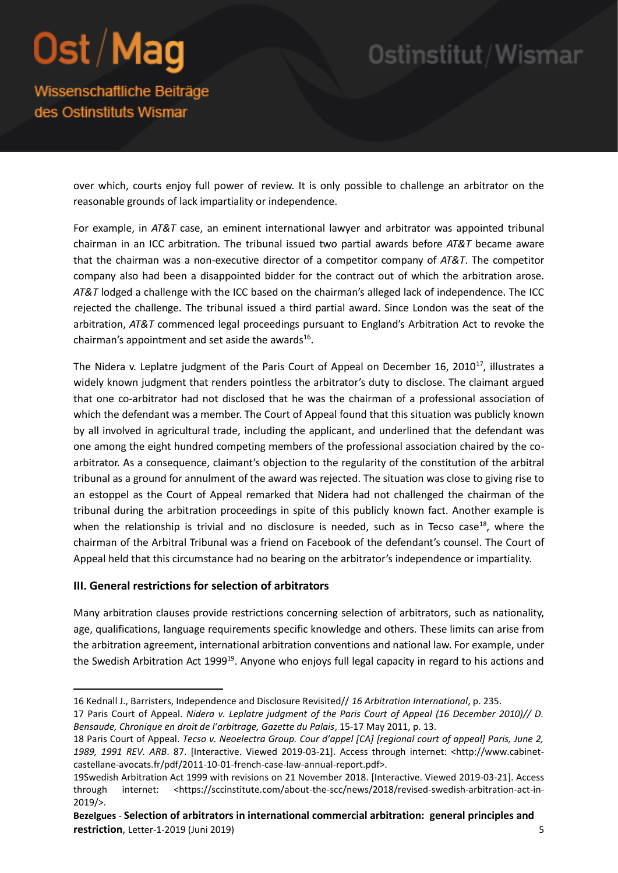### Ostinstitut/Wismar

Wissenschaftliche Beiträge des Ostinstituts Wismar

> over which, courts enjoy full power of review. It is only possible to challenge an arbitrator on the reasonable grounds of lack impartiality or independence.

> For example, in *AT&T* case, an eminent international lawyer and arbitrator was appointed tribunal chairman in an ICC arbitration. The tribunal issued two partial awards before *AT&T* became aware that the chairman was a non-executive director of a competitor company of *AT&T*. The competitor company also had been a disappointed bidder for the contract out of which the arbitration arose. *AT&T* lodged a challenge with the ICC based on the chairman's alleged lack of independence. The ICC rejected the challenge. The tribunal issued a third partial award. Since London was the seat of the arbitration, *AT&T* commenced legal proceedings pursuant to England's Arbitration Act to revoke the chairman's appointment and set aside the awards $^{16}$ .

> The Nidera v. Leplatre judgment of the Paris Court of Appeal on December 16, 2010<sup>17</sup>, illustrates a widely known judgment that renders pointless the arbitrator's duty to disclose. The claimant argued that one co-arbitrator had not disclosed that he was the chairman of a professional association of which the defendant was a member. The Court of Appeal found that this situation was publicly known by all involved in agricultural trade, including the applicant, and underlined that the defendant was one among the eight hundred competing members of the professional association chaired by the coarbitrator. As a consequence, claimant's objection to the regularity of the constitution of the arbitral tribunal as a ground for annulment of the award was rejected. The situation was close to giving rise to an estoppel as the Court of Appeal remarked that Nidera had not challenged the chairman of the tribunal during the arbitration proceedings in spite of this publicly known fact. Another example is when the relationship is trivial and no disclosure is needed, such as in Tecso case<sup>18</sup>, where the chairman of the Arbitral Tribunal was a friend on Facebook of the defendant's counsel. The Court of Appeal held that this circumstance had no bearing on the arbitrator's independence or impartiality.

#### **III. General restrictions for selection of arbitrators**

**.** 

Many arbitration clauses provide restrictions concerning selection of arbitrators, such as nationality, age, qualifications, language requirements specific knowledge and others. These limits can arise from the arbitration agreement, international arbitration conventions and national law. For example, under the Swedish Arbitration Act 1999<sup>19</sup>. Anyone who enjoys full legal capacity in regard to his actions and

<sup>16</sup> Kednall J., Barristers, Independence and Disclosure Revisited// *16 Arbitration International*, p. 235.

<sup>17</sup> Paris Court of Appeal. *Nidera v. Leplatre judgment of the Paris Court of Appeal (16 December 2010)// D. Bensaude, Chronique en droit de l'arbitrage, Gazette du Palais*, 15-17 May 2011, p. 13.

<sup>18</sup> Paris Court of Appeal. *Tecso v. Neoelectra Group. Cour d'appel [CA] [regional court of appeal] Paris, June 2, 1989, 1991 REV. ARB*. 87. [Interactive. Viewed 2019-03-21]. Access through internet: <http://www.cabinetcastellane-avocats.fr/pdf/2011-10-01-french-case-law-annual-report.pdf>.

<sup>19</sup>Swedish Arbitration Act 1999 with revisions on 21 November 2018. [Interactive. Viewed 2019-03-21]. Access through internet: <https://sccinstitute.com/about-the-scc/news/2018/revised-swedish-arbitration-act-in-2019/>.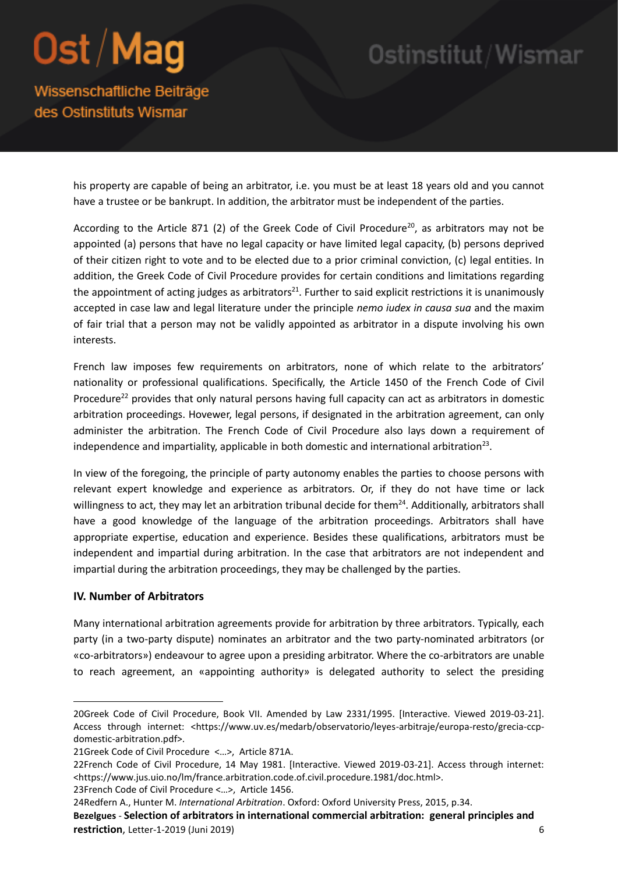## Ostinstitut/Wismar

Wissenschaftliche Beiträge des Ostinstituts Wismar

> his property are capable of being an arbitrator, i.e. you must be at least 18 years old and you cannot have a trustee or be bankrupt. In addition, the arbitrator must be independent of the parties.

> According to the Article 871 (2) of the Greek Code of Civil Procedure<sup>20</sup>, as arbitrators may not be appointed (a) persons that have no legal capacity or have limited legal capacity, (b) persons deprived of their citizen right to vote and to be elected due to a prior criminal conviction, (c) legal entities. In addition, the Greek Code of Civil Procedure provides for certain conditions and limitations regarding the appointment of acting judges as arbitrators<sup>21</sup>. Further to said explicit restrictions it is unanimously accepted in case law and legal literature under the principle *nemo iudex in causa sua* and the maxim of fair trial that a person may not be validly appointed as arbitrator in a dispute involving his own interests.

> French law imposes few requirements on arbitrators, none of which relate to the arbitrators' nationality or professional qualifications. Specifically, the Article 1450 of the French Code of Civil Procedure<sup>22</sup> provides that only natural persons having full capacity can act as arbitrators in domestic arbitration proceedings. Hovewer, legal persons, if designated in the arbitration agreement, can only administer the arbitration. The French Code of Civil Procedure also lays down a requirement of independence and impartiality, applicable in both domestic and international arbitration<sup>23</sup>.

> In view of the foregoing, the principle of party autonomy enables the parties to choose persons with relevant expert knowledge and experience as arbitrators. Or, if they do not have time or lack willingness to act, they may let an arbitration tribunal decide for them<sup>24</sup>. Additionally, arbitrators shall have a good knowledge of the language of the arbitration proceedings. Arbitrators shall have appropriate expertise, education and experience. Besides these qualifications, arbitrators must be independent and impartial during arbitration. In the case that arbitrators are not independent and impartial during the arbitration proceedings, they may be challenged by the parties.

#### **IV. Number of Arbitrators**

**.** 

Many international arbitration agreements provide for arbitration by three arbitrators. Typically, each party (in a two-party dispute) nominates an arbitrator and the two party-nominated arbitrators (or «co-arbitrators») endeavour to agree upon a presiding arbitrator. Where the co-arbitrators are unable to reach agreement, an «appointing authority» is delegated authority to select the presiding

**Bezelgues** - **Selection of arbitrators in international commercial arbitration: general principles and restriction**, Letter-1-2019 (Juni 2019) 6

<sup>20</sup>Greek Code of Civil Procedure, Book VII. Amended by Law 2331/1995. [Interactive. Viewed 2019-03-21]. Access through internet: <https://www.uv.es/medarb/observatorio/leyes-arbitraje/europa-resto/grecia-ccpdomestic-arbitration.pdf>.

<sup>21</sup>Greek Code of Civil Procedure <…>, Article 871A.

<sup>22</sup>French Code of Civil Procedure, 14 May 1981. [Interactive. Viewed 2019-03-21]. Access through internet: <https://www.jus.uio.no/lm/france.arbitration.code.of.civil.procedure.1981/doc.html>. 23French Code of Civil Procedure <…>, Article 1456.

<sup>24</sup>Redfern A., Hunter M. *International Arbitration*. Oxford: Oxford University Press, 2015, p.34.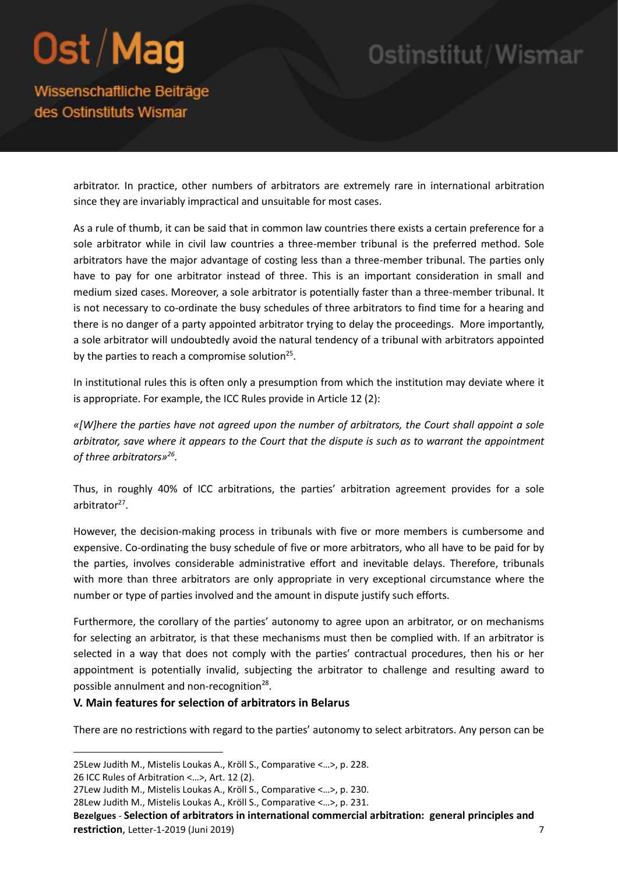## Ostinstitut/Wismar

Wissenschaftliche Beiträge des Ostinstituts Wismar

> arbitrator. In practice, other numbers of arbitrators are extremely rare in international arbitration since they are invariably impractical and unsuitable for most cases.

> As a rule of thumb, it can be said that in common law countries there exists a certain preference for a sole arbitrator while in civil law countries a three-member tribunal is the preferred method. Sole arbitrators have the major advantage of costing less than a three-member tribunal. The parties only have to pay for one arbitrator instead of three. This is an important consideration in small and medium sized cases. Moreover, a sole arbitrator is potentially faster than a three-member tribunal. It is not necessary to co-ordinate the busy schedules of three arbitrators to find time for a hearing and there is no danger of a party appointed arbitrator trying to delay the proceedings. More importantly, a sole arbitrator will undoubtedly avoid the natural tendency of a tribunal with arbitrators appointed by the parties to reach a compromise solution $25$ .

> In institutional rules this is often only a presumption from which the institution may deviate where it is appropriate. For example, the ICC Rules provide in Article 12 (2):

> *«[W]here the parties have not agreed upon the number of arbitrators, the Court shall appoint a sole arbitrator, save where it appears to the Court that the dispute is such as to warrant the appointment of three arbitrators»<sup>26</sup> .*

> Thus, in roughly 40% of ICC arbitrations, the parties' arbitration agreement provides for a sole arbitrator<sup>27</sup>.

> However, the decision-making process in tribunals with five or more members is cumbersome and expensive. Co-ordinating the busy schedule of five or more arbitrators, who all have to be paid for by the parties, involves considerable administrative effort and inevitable delays. Therefore, tribunals with more than three arbitrators are only appropriate in very exceptional circumstance where the number or type of parties involved and the amount in dispute justify such efforts.

> Furthermore, the corollary of the parties' autonomy to agree upon an arbitrator, or on mechanisms for selecting an arbitrator, is that these mechanisms must then be complied with. If an arbitrator is selected in a way that does not comply with the parties' contractual procedures, then his or her appointment is potentially invalid, subjecting the arbitrator to challenge and resulting award to possible annulment and non-recognition<sup>28</sup>.

#### **V. Main features for selection of arbitrators in Belarus**

There are no restrictions with regard to the parties' autonomy to select arbitrators. Any person can be

1

**Bezelgues** - **Selection of arbitrators in international commercial arbitration: general principles and restriction**, Letter-1-2019 (Juni 2019) 7

<sup>25</sup>Lew Judith M., Mistelis Loukas A., Kröll S., Comparative <…>, p. 228.

<sup>26</sup> ICC Rules of Arbitration <…>, Art. 12 (2).

<sup>27</sup>Lew Judith M., Mistelis Loukas A., Kröll S., Comparative <…>, p. 230.

<sup>28</sup>Lew Judith M., Mistelis Loukas A., Kröll S., Comparative <…>, p. 231.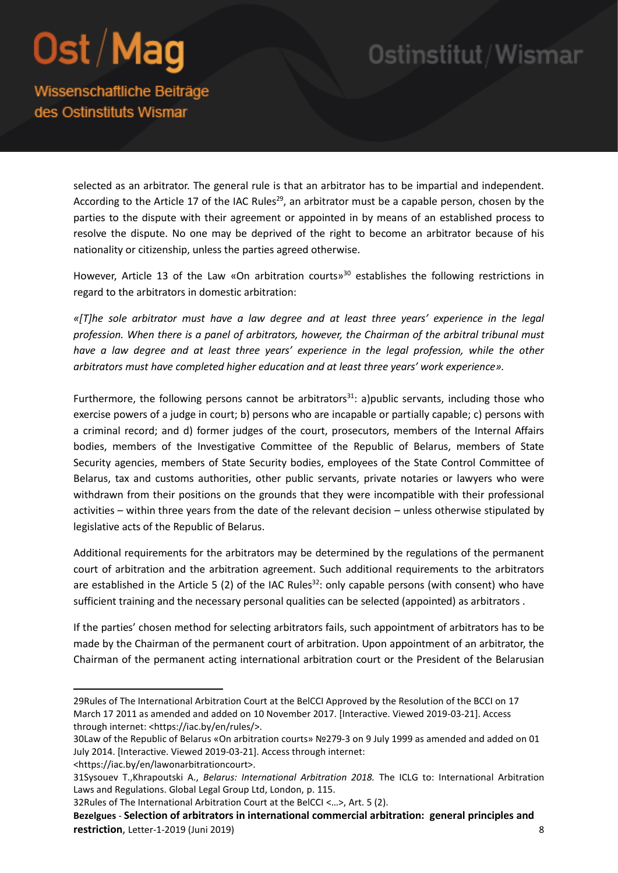### Ostinstitut/Wismar

Wissenschaftliche Beiträge des Ostinstituts Wismar

> selected as an arbitrator. The general rule is that an arbitrator has to be impartial and independent. According to the Article 17 of the IAC Rules<sup>29</sup>, an arbitrator must be a capable person, chosen by the parties to the dispute with their agreement or appointed in by means of an established process to resolve the dispute. No one may be deprived of the right to become an arbitrator because of his nationality or citizenship, unless the parties agreed otherwise.

> However, Article 13 of the Law «On arbitration courts»<sup>30</sup> establishes the following restrictions in regard to the arbitrators in domestic arbitration:

> *«[T]he sole arbitrator must have a law degree and at least three years' experience in the legal profession. When there is a panel of arbitrators, however, the Chairman of the arbitral tribunal must*  have a law degree and at least three years' experience in the legal profession, while the other *arbitrators must have completed higher education and at least three years' work experience».*

> Furthermore, the following persons cannot be arbitrators<sup>31</sup>: a)public servants, including those who exercise powers of a judge in court; b) persons who are incapable or partially capable; c) persons with a criminal record; and d) former judges of the court, prosecutors, members of the Internal Affairs bodies, members of the Investigative Committee of the Republic of Belarus, members of State Security agencies, members of State Security bodies, employees of the State Control Committee of Belarus, tax and customs authorities, other public servants, private notaries or lawyers who were withdrawn from their positions on the grounds that they were incompatible with their professional activities – within three years from the date of the relevant decision – unless otherwise stipulated by legislative acts of the Republic of Belarus.

> Additional requirements for the arbitrators may be determined by the regulations of the permanent court of arbitration and the arbitration agreement. Such additional requirements to the arbitrators are established in the Article 5 (2) of the IAC Rules<sup>32</sup>: only capable persons (with consent) who have sufficient training and the necessary personal qualities can be selected (appointed) as arbitrators .

> If the parties' chosen method for selecting arbitrators fails, such appointment of arbitrators has to be made by the Chairman of the permanent court of arbitration. Upon appointment of an arbitrator, the Chairman of the permanent acting international arbitration court or the President of the Belarusian

**.** 

<sup>29</sup>Rules of The International Arbitration Court at the BelCCI Approved by the Resolution of the BCCI on 17 March 17 2011 as amended and added on 10 November 2017. [Interactive. Viewed 2019-03-21]. Access through internet: <https://iac.by/en/rules/>.

<sup>30</sup>Law of the Republic of Belarus «On arbitration courts» №279-3 on 9 July 1999 as amended and added on 01 July 2014. [Interactive. Viewed 2019-03-21]. Access through internet:

<sup>&</sup>lt;https://iac.by/en/lawonarbitrationcourt>.

<sup>31</sup>Sysouev T.,Khrapoutski A., *Belarus: International Arbitration 2018.* The ICLG to: International Arbitration Laws and Regulations. Global Legal Group Ltd, London, p. 115.

<sup>32</sup>Rules of The International Arbitration Court at the BelCCI <…>, Art. 5 (2).

**Bezelgues** - **Selection of arbitrators in international commercial arbitration: general principles and restriction**, Letter-1-2019 (Juni 2019) 8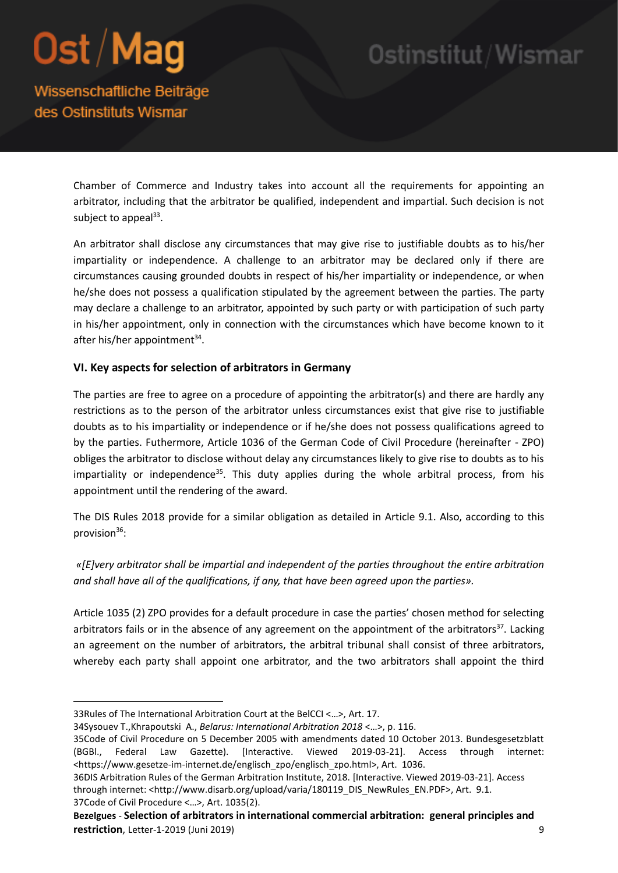### Ostinstitut/Wismar

### Wissenschaftliche Beiträge des Ostinstituts Wismar

Chamber of Commerce and Industry takes into account all the requirements for appointing an arbitrator, including that the arbitrator be qualified, independent and impartial. Such decision is not subject to appeal<sup>33</sup>.

An arbitrator shall disclose any circumstances that may give rise to justifiable doubts as to his/her impartiality or independence. A challenge to an arbitrator may be declared only if there are circumstances causing grounded doubts in respect of his/her impartiality or independence, or when he/she does not possess a qualification stipulated by the agreement between the parties. The party may declare a challenge to an arbitrator, appointed by such party or with participation of such party in his/her appointment, only in connection with the circumstances which have become known to it after his/her appointment<sup>34</sup>.

#### **VI. Key aspects for selection of arbitrators in Germany**

The parties are free to agree on a procedure of appointing the arbitrator(s) and there are hardly any restrictions as to the person of the arbitrator unless circumstances exist that give rise to justifiable doubts as to his impartiality or independence or if he/she does not possess qualifications agreed to by the parties. Futhermore, Article 1036 of the German Code of Civil Procedure (hereinafter - ZPO) obliges the arbitrator to disclose without delay any circumstances likely to give rise to doubts as to his impartiality or independence<sup>35</sup>. This duty applies during the whole arbitral process, from his appointment until the rendering of the award.

The DIS Rules 2018 provide for a similar obligation as detailed in Article 9.1. Also, according to this provision $36$ :

*«[E]very arbitrator shall be impartial and independent of the parties throughout the entire arbitration and shall have all of the qualifications, if any, that have been agreed upon the parties».*

Article 1035 (2) ZPO provides for a default procedure in case the parties' chosen method for selecting arbitrators fails or in the absence of any agreement on the appointment of the arbitrators<sup>37</sup>. Lacking an agreement on the number of arbitrators, the arbitral tribunal shall consist of three arbitrators, whereby each party shall appoint one arbitrator, and the two arbitrators shall appoint the third

**.** 

<sup>33</sup>Rules of The International Arbitration Court at the BelCCI <…>, Art. 17.

<sup>34</sup>Sysouev T.,Khrapoutski A., *Belarus: International Arbitration 2018* <…>, p. 116.

<sup>35</sup>Code of Civil Procedure on 5 December 2005 with amendments dated 10 October 2013. Bundesgesetzblatt (BGBl., Federal Law Gazette). [Interactive. Viewed 2019-03-21]. Access through internet: <https://www.gesetze-im-internet.de/englisch\_zpo/englisch\_zpo.html>, Art. 1036.

<sup>36</sup>DIS Arbitration Rules of the German Arbitration Institute, 2018. [Interactive. Viewed 2019-03-21]. Access through internet: <http://www.disarb.org/upload/varia/180119\_DIS\_NewRules\_EN.PDF>, Art. 9.1. 37Code of Civil Procedure <…>, Art. 1035(2).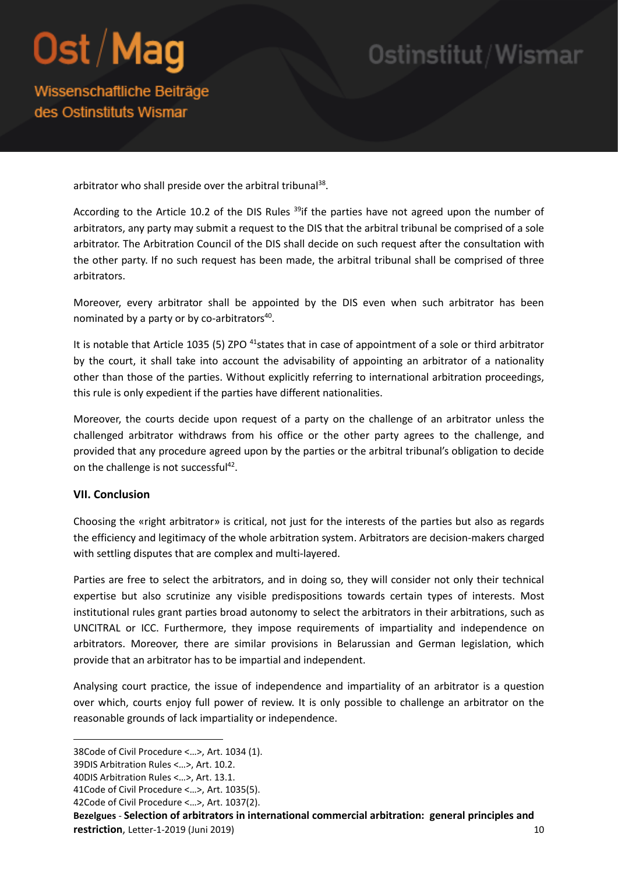## Ostinstitut/Wismar

Wissenschaftliche Beiträge des Ostinstituts Wismar

arbitrator who shall preside over the arbitral tribunal<sup>38</sup>.

According to the Article 10.2 of the DIS Rules <sup>39</sup>if the parties have not agreed upon the number of arbitrators, any party may submit a request to the DIS that the arbitral tribunal be comprised of a sole arbitrator. The Arbitration Council of the DIS shall decide on such request after the consultation with the other party. If no such request has been made, the arbitral tribunal shall be comprised of three arbitrators.

Moreover, every arbitrator shall be appointed by the DIS even when such arbitrator has been nominated by a party or by co-arbitrators<sup>40</sup>.

It is notable that Article 1035 (5) ZPO <sup>41</sup>states that in case of appointment of a sole or third arbitrator by the court, it shall take into account the advisability of appointing an arbitrator of a nationality other than those of the parties. Without explicitly referring to international arbitration proceedings, this rule is only expedient if the parties have different nationalities.

Moreover, the courts decide upon request of a party on the challenge of an arbitrator unless the challenged arbitrator withdraws from his office or the other party agrees to the challenge, and provided that any procedure agreed upon by the parties or the arbitral tribunal's obligation to decide on the challenge is not successful<sup>42</sup>.

#### **VII. Conclusion**

Choosing the «right arbitrator» is critical, not just for the interests of the parties but also as regards the efficiency and legitimacy of the whole arbitration system. Arbitrators are decision-makers charged with settling disputes that are complex and multi-layered.

Parties are free to select the arbitrators, and in doing so, they will consider not only their technical expertise but also scrutinize any visible predispositions towards certain types of interests. Most institutional rules grant parties broad autonomy to select the arbitrators in their arbitrations, such as UNCITRAL or ICC. Furthermore, they impose requirements of impartiality and independence on arbitrators. Moreover, there are similar provisions in Belarussian and German legislation, which provide that an arbitrator has to be impartial and independent.

Analysing court practice, the issue of independence and impartiality of an arbitrator is a question over which, courts enjoy full power of review. It is only possible to challenge an arbitrator on the reasonable grounds of lack impartiality or independence.

**.** 

- 41Code of Civil Procedure <…>, Art. 1035(5).
- 42Code of Civil Procedure <…>, Art. 1037(2).

**Bezelgues** - **Selection of arbitrators in international commercial arbitration: general principles and restriction**, Letter-1-2019 (Juni 2019) 10

<sup>38</sup>Code of Civil Procedure <…>, Art. 1034 (1).

<sup>39</sup>DIS Arbitration Rules <…>, Art. 10.2.

<sup>40</sup>DIS Arbitration Rules <…>, Art. 13.1.